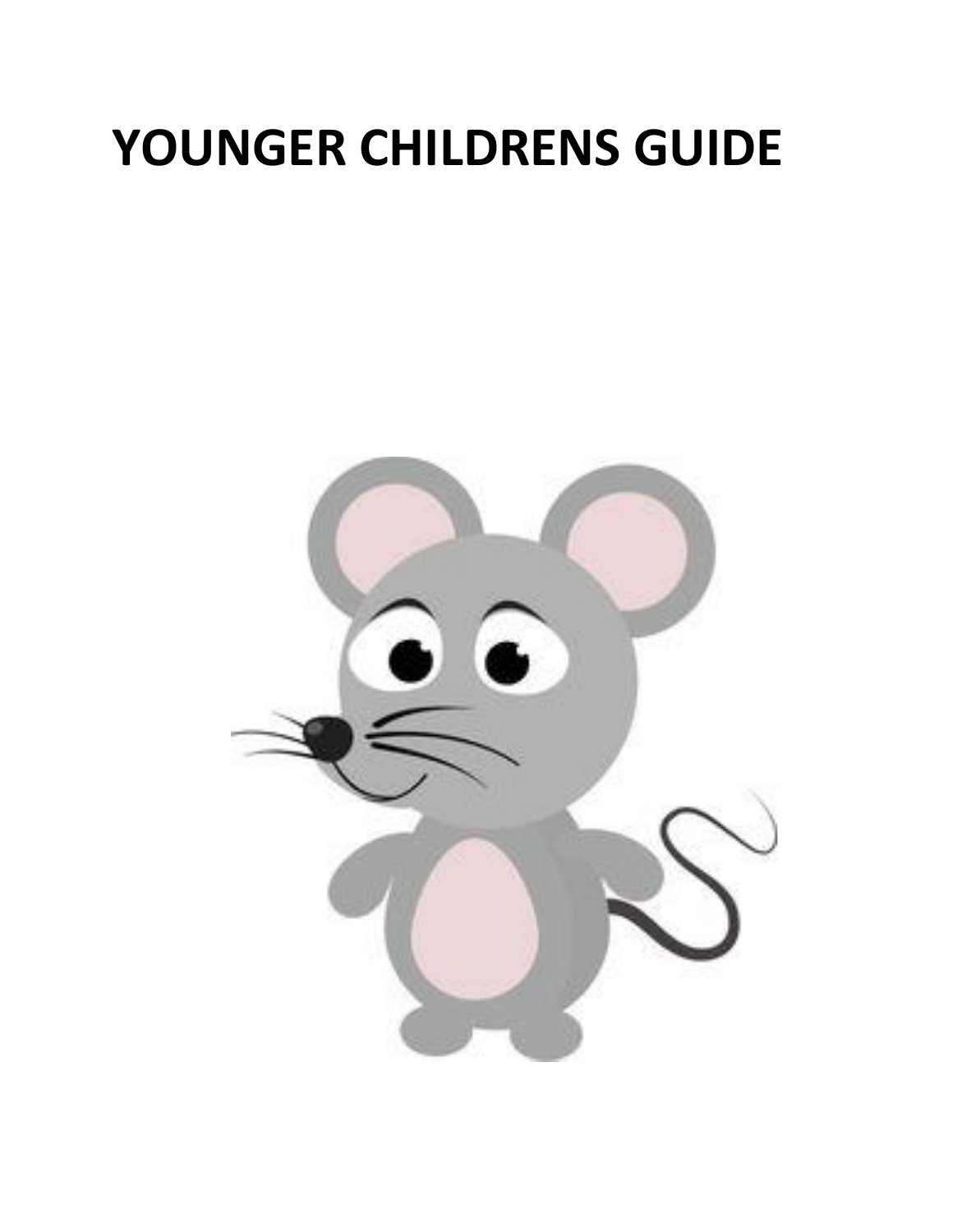# **YOUNGER CHILDRENS GUIDE**

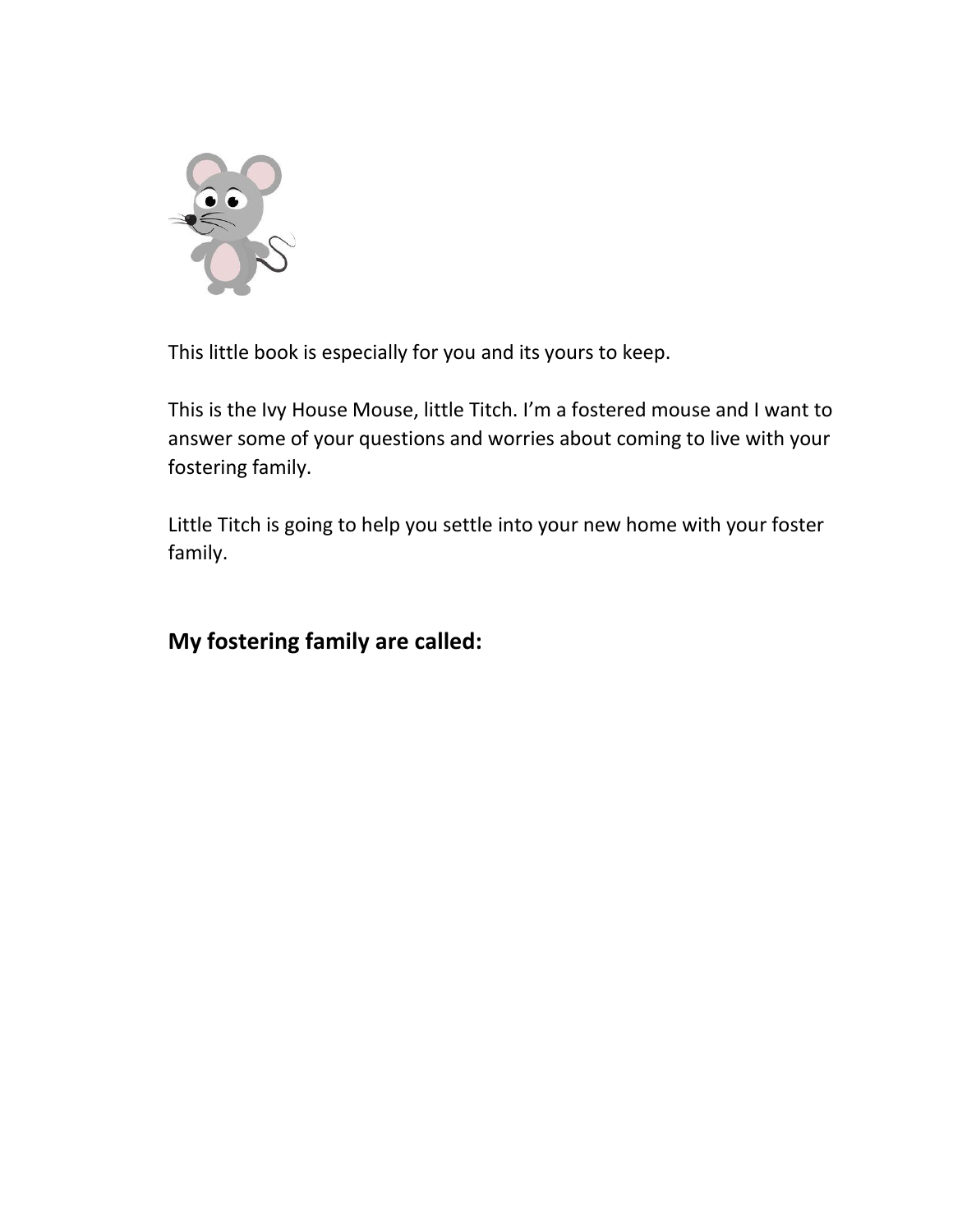

This little book is especially for you and its yours to keep.

This is the Ivy House Mouse, little Titch. I'm a fostered mouse and I want to answer some of your questions and worries about coming to live with your fostering family.

Little Titch is going to help you settle into your new home with your foster family.

#### **My fostering family are called:**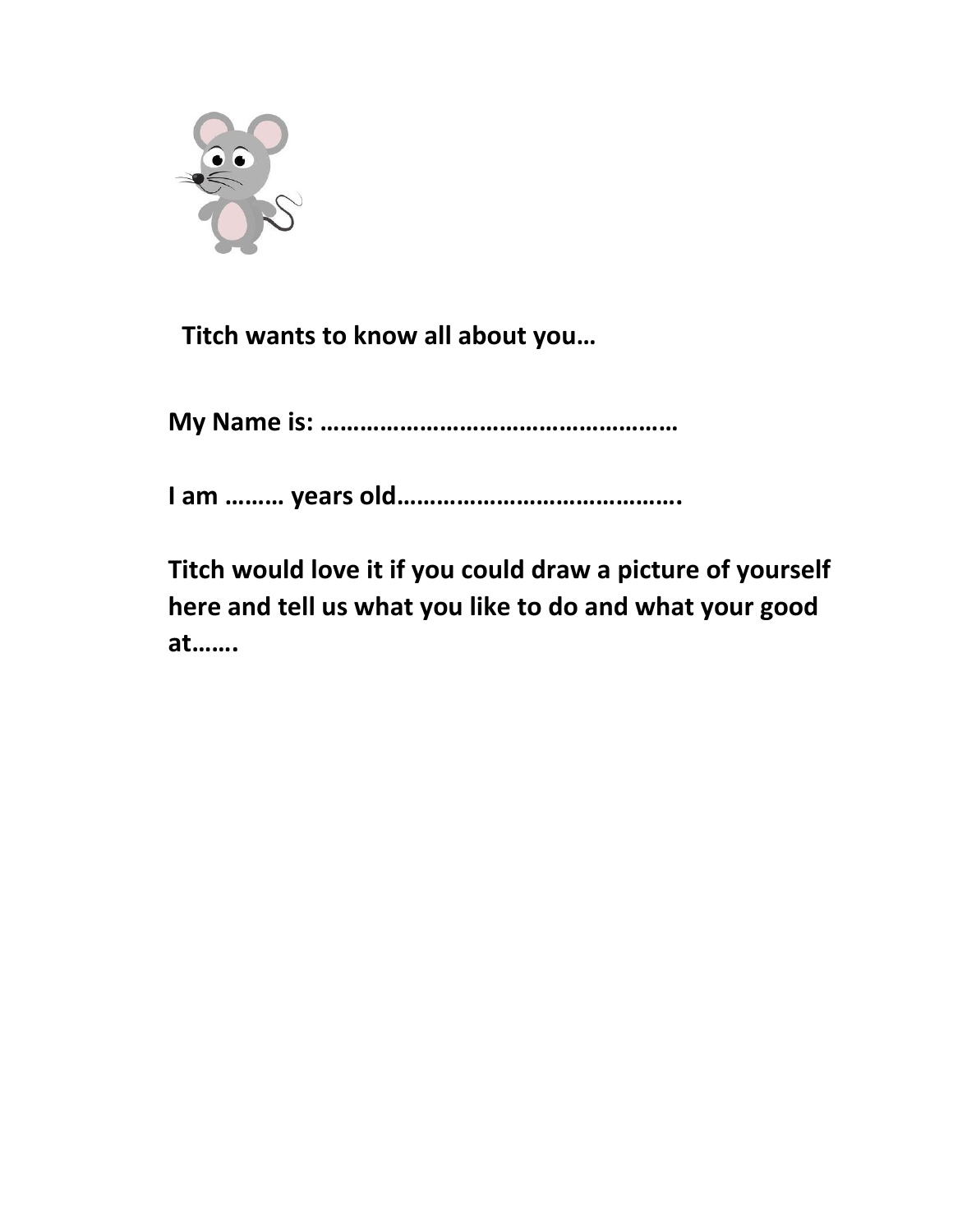

 **Titch wants to know all about you…**

**My Name is: ………………………………………………**

**I am ……… years old…………………………………….**

**Titch would love it if you could draw a picture of yourself here and tell us what you like to do and what your good at…….**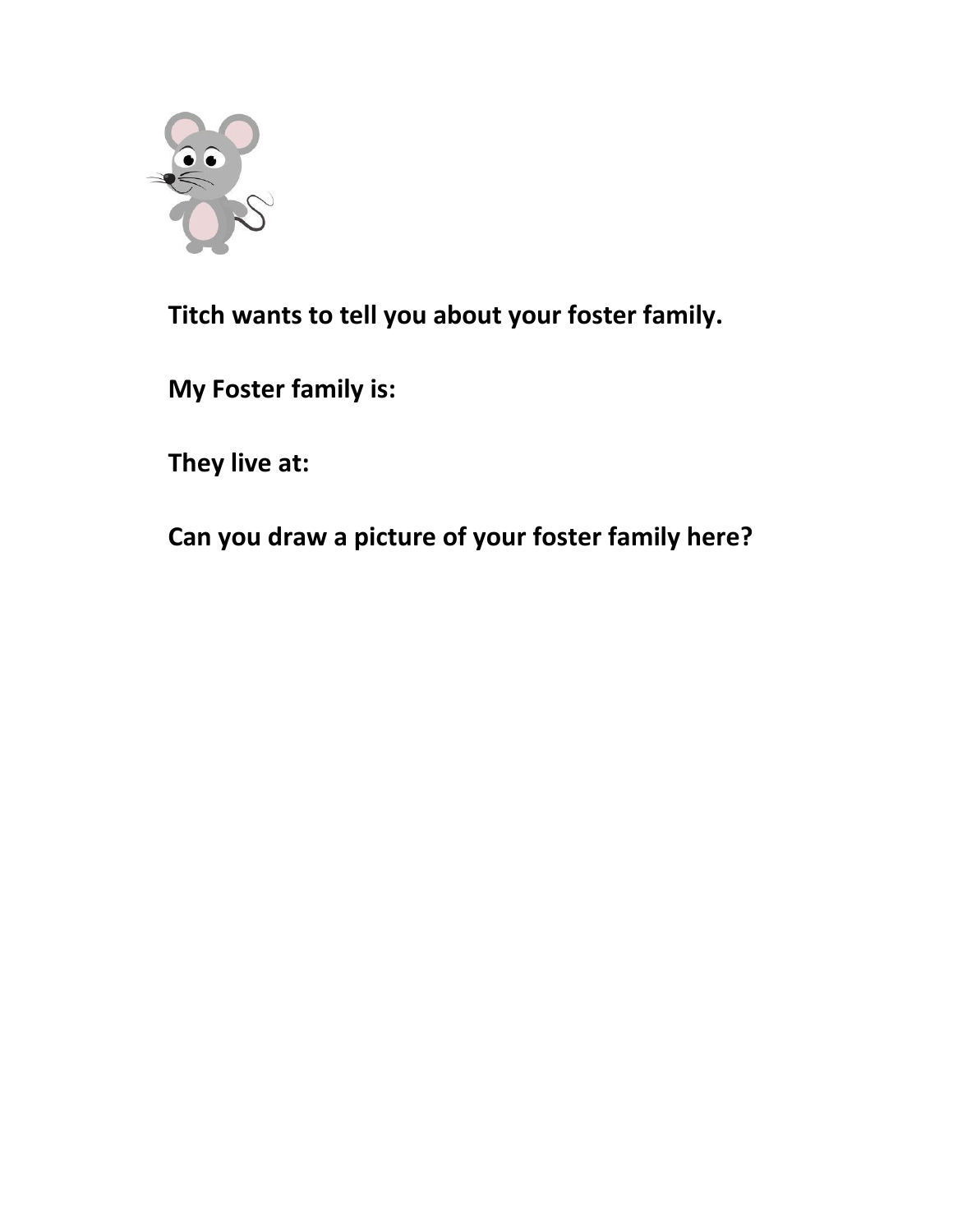

**Titch wants to tell you about your foster family.**

**My Foster family is:**

**They live at:**

**Can you draw a picture of your foster family here?**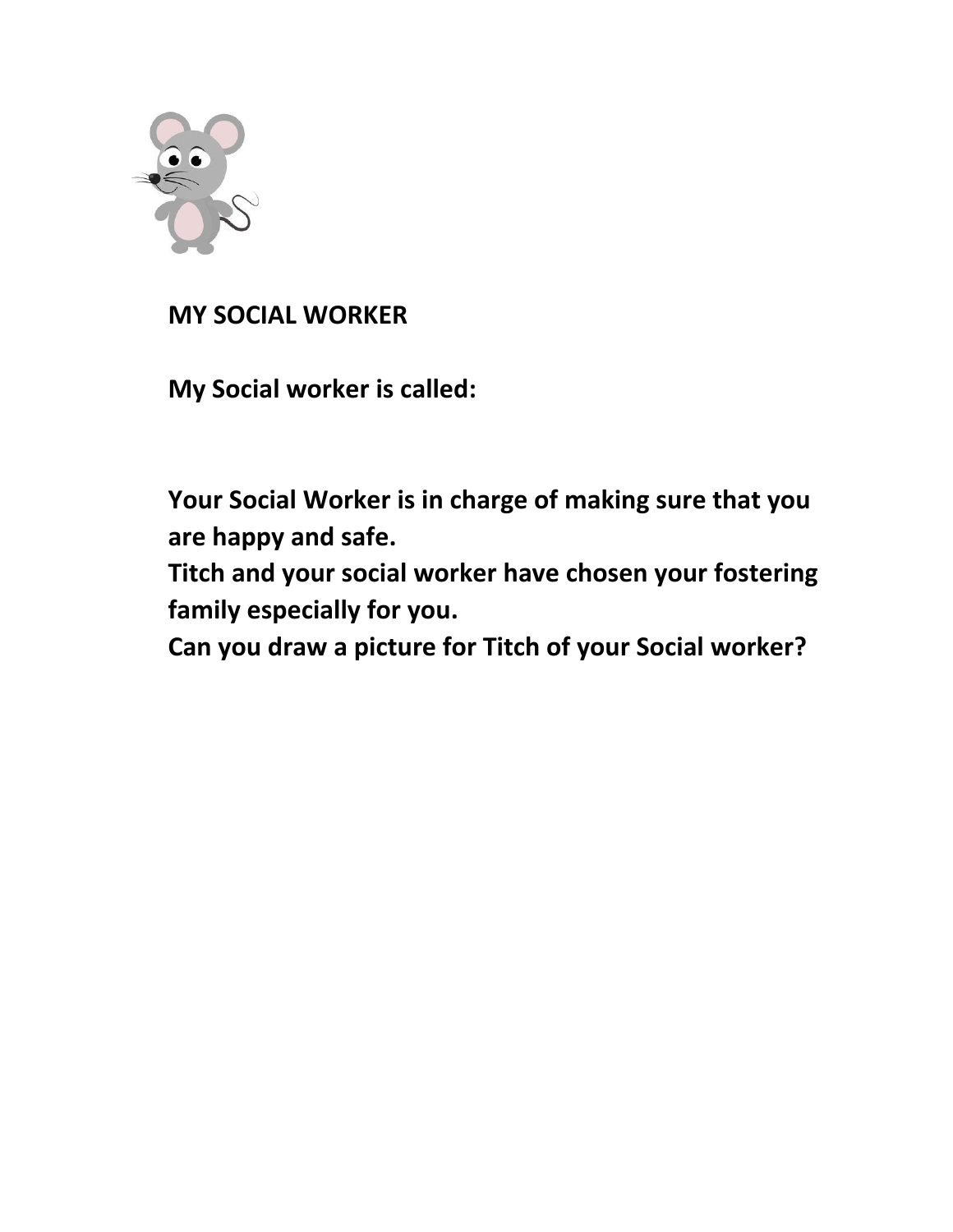

### **MY SOCIAL WORKER**

**My Social worker is called:**

**Your Social Worker is in charge of making sure that you are happy and safe.**

**Titch and your social worker have chosen your fostering family especially for you.** 

**Can you draw a picture for Titch of your Social worker?**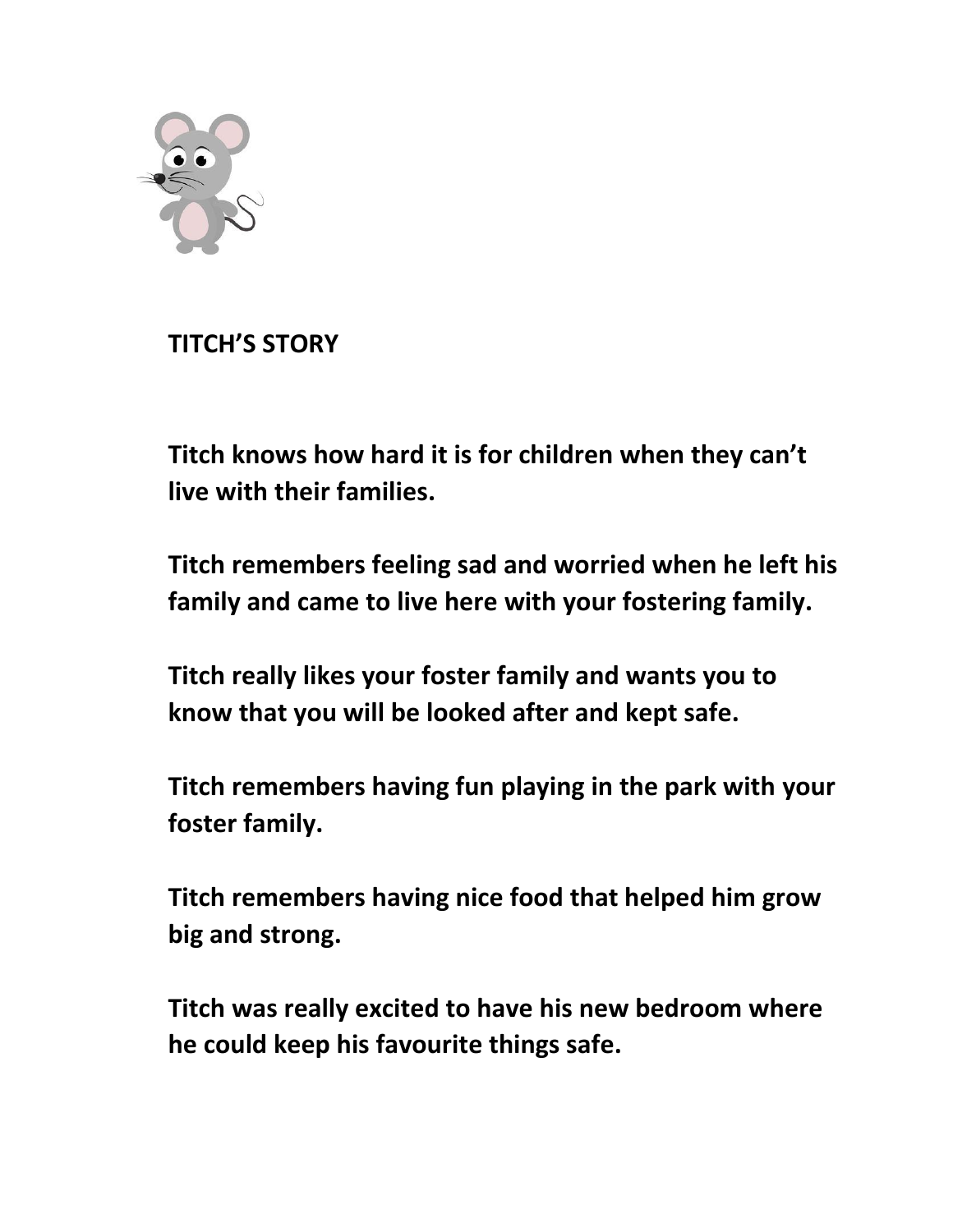

**TITCH'S STORY** 

**Titch knows how hard it is for children when they can't live with their families.** 

**Titch remembers feeling sad and worried when he left his family and came to live here with your fostering family.**

**Titch really likes your foster family and wants you to know that you will be looked after and kept safe.**

**Titch remembers having fun playing in the park with your foster family.**

**Titch remembers having nice food that helped him grow big and strong.** 

**Titch was really excited to have his new bedroom where he could keep his favourite things safe.**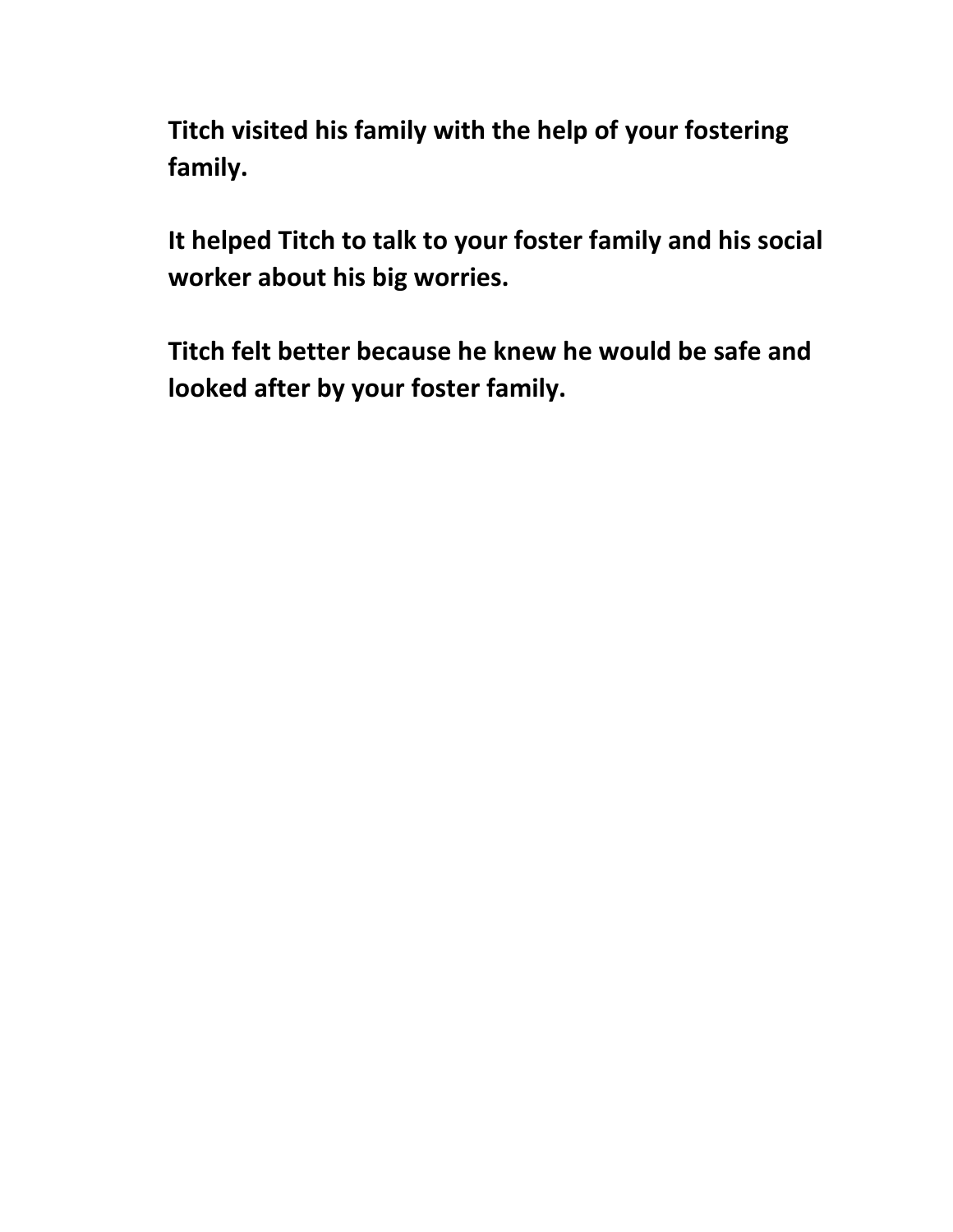**Titch visited his family with the help of your fostering family.**

**It helped Titch to talk to your foster family and his social worker about his big worries.** 

**Titch felt better because he knew he would be safe and looked after by your foster family.**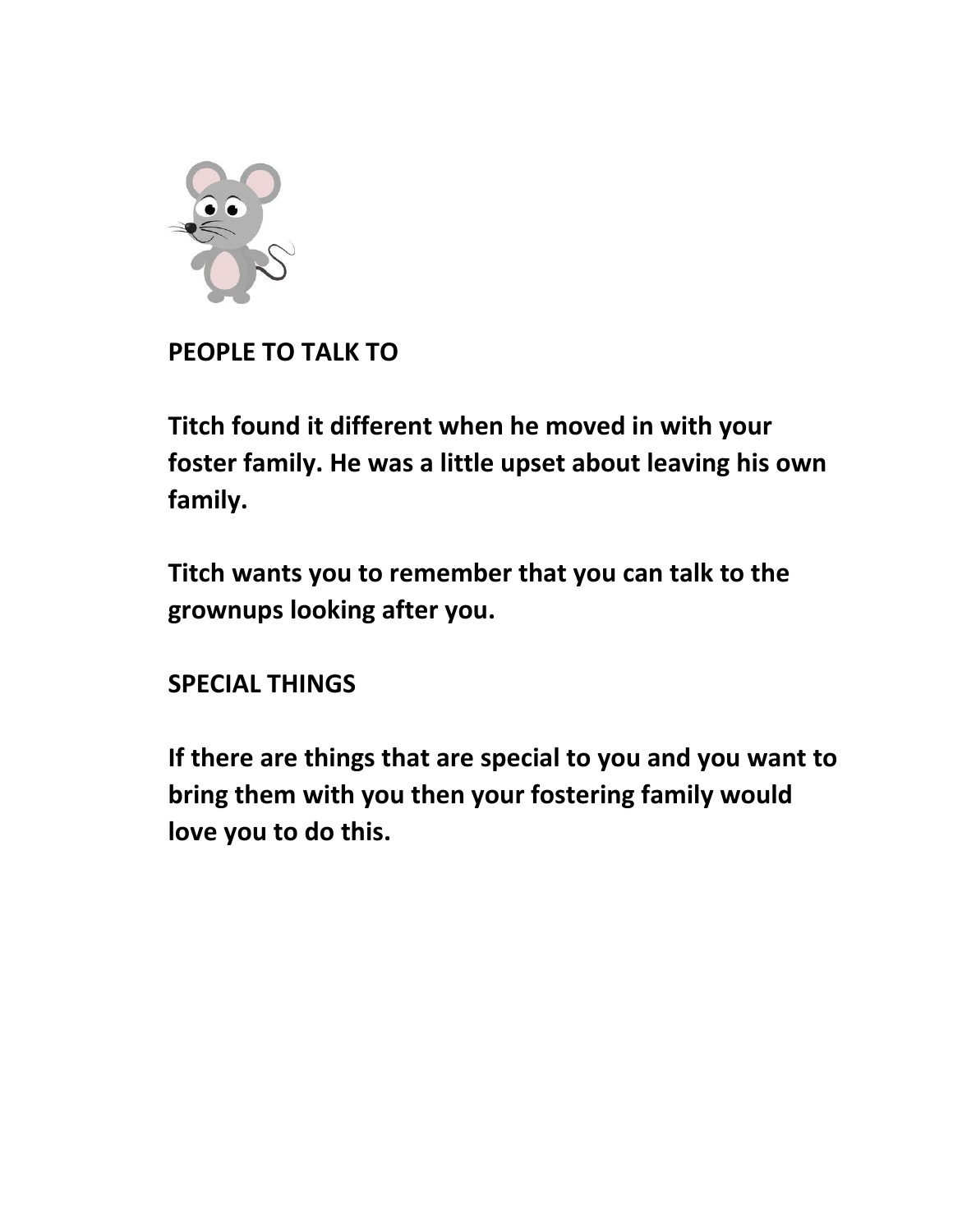

#### **PEOPLE TO TALK TO**

**Titch found it different when he moved in with your foster family. He was a little upset about leaving his own family.**

**Titch wants you to remember that you can talk to the grownups looking after you.** 

#### **SPECIAL THINGS**

**If there are things that are special to you and you want to bring them with you then your fostering family would love you to do this.**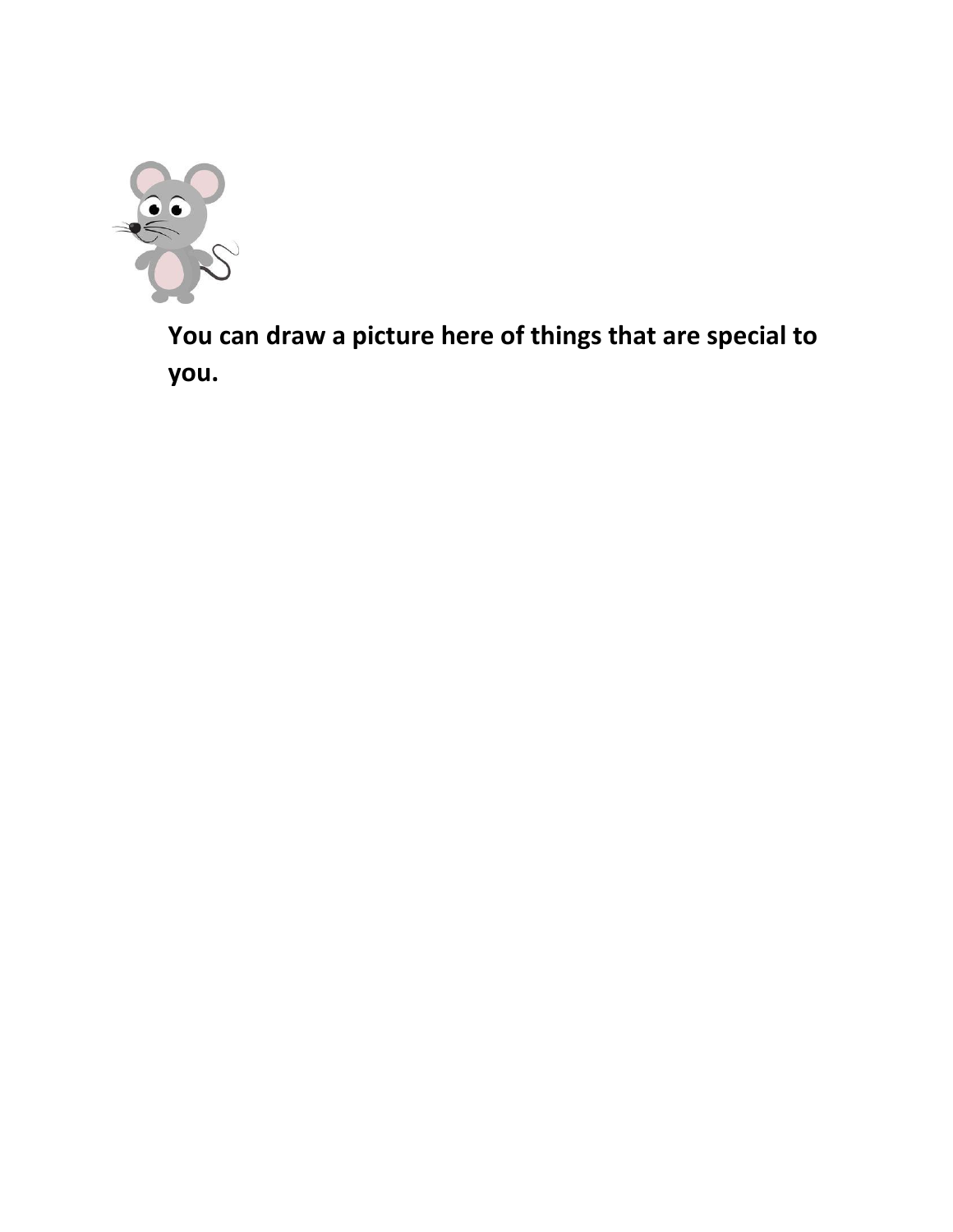

**You can draw a picture here of things that are special to you.**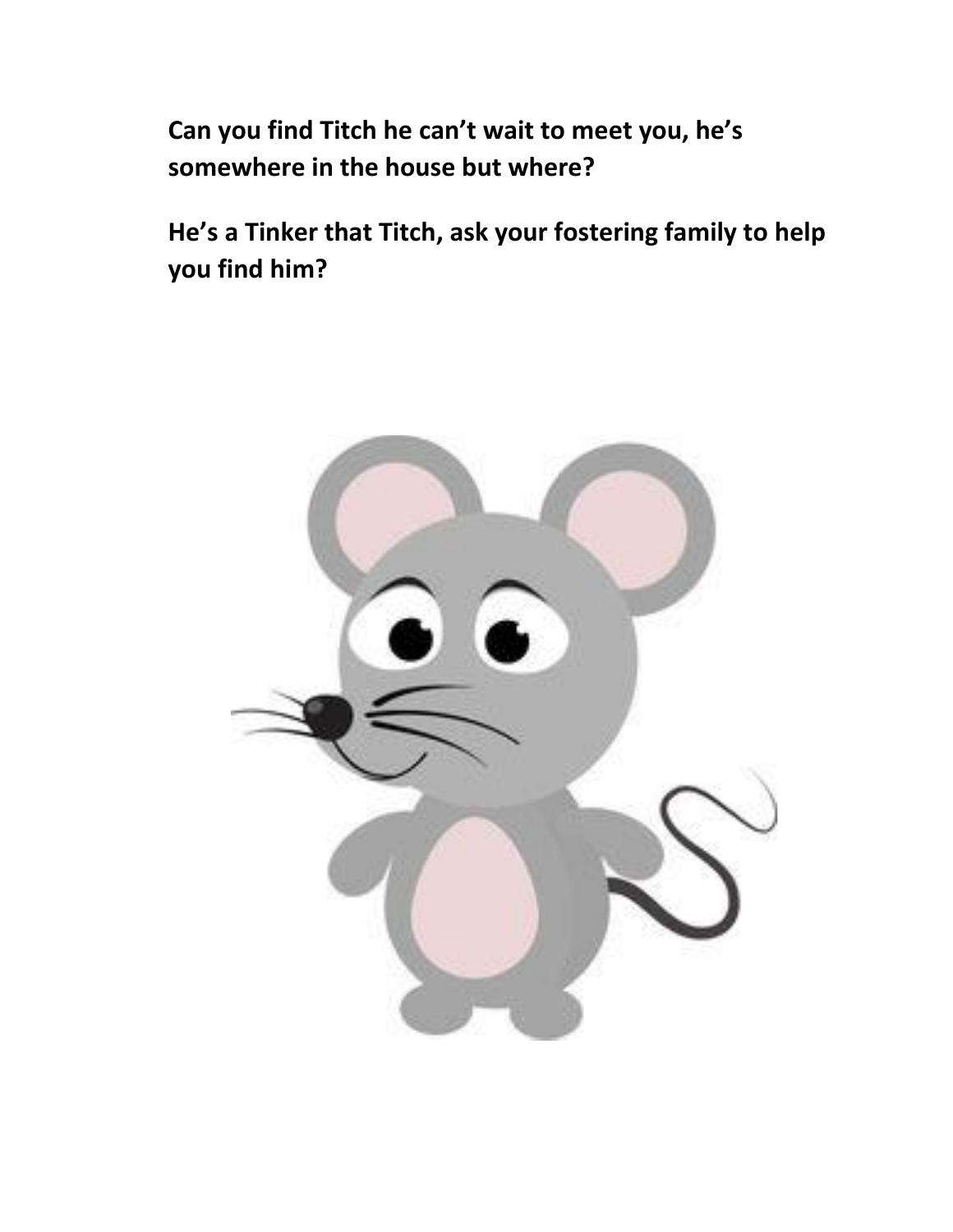**Can you find Titch he can't wait to meet you, he's somewhere in the house but where?**

**He's a Tinker that Titch, ask your fostering family to help you find him?**

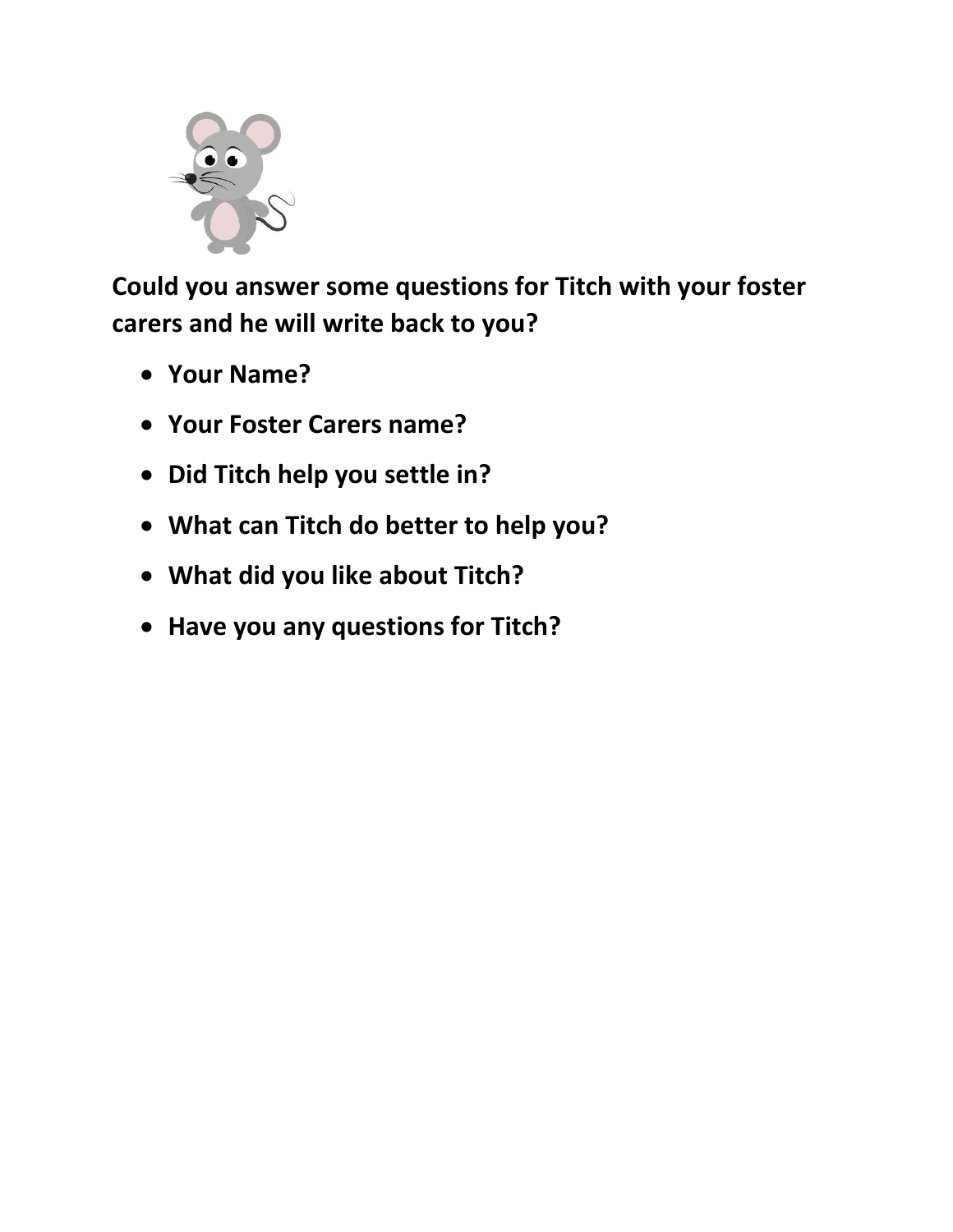

**Could you answer some questions for Titch with your foster carers and he will write back to you?**

- **Your Name?**
- **Your Foster Carers name?**
- **Did Titch help you settle in?**
- **What can Titch do better to help you?**
- **What did you like about Titch?**
- **Have you any questions for Titch?**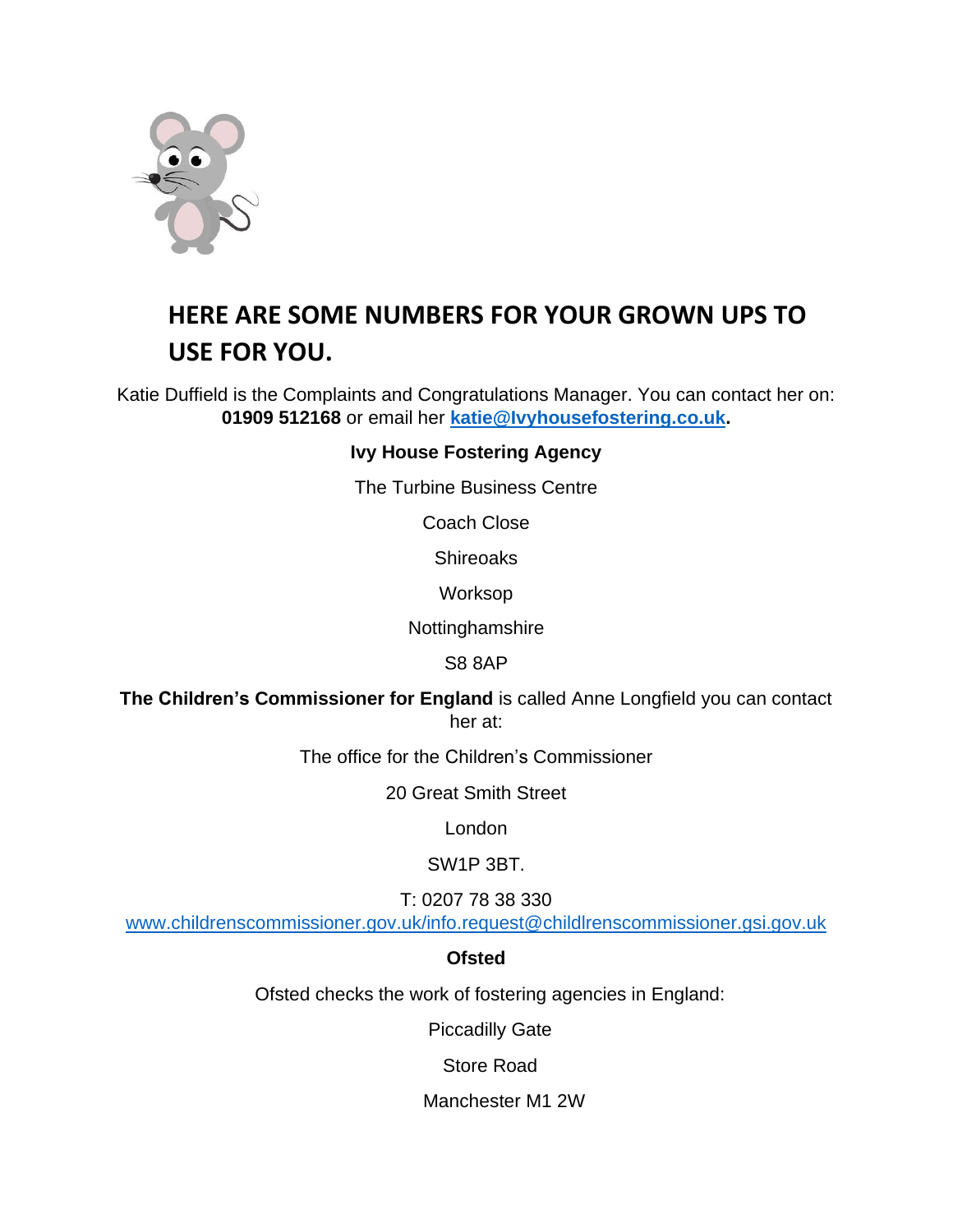

## **HERE ARE SOME NUMBERS FOR YOUR GROWN UPS TO USE FOR YOU.**

Katie Duffield is the Complaints and Congratulations Manager. You can contact her on: **01909 512168** or email her **[katie@Ivyhousefostering.co.uk.](mailto:katie@Ivyhousefostering.co.uk)**

#### **Ivy House Fostering Agency**

The Turbine Business Centre

Coach Close

**Shireoaks** 

Worksop

Nottinghamshire

S8 8AP

**The Children's Commissioner for England** is called Anne Longfield you can contact her at:

The office for the Children's Commissioner

20 Great Smith Street

London

SW1P 3BT.

T: 0207 78 38 330

[www.childrenscommissioner.gov.uk/info.request@childlrenscommissioner.gsi.gov.uk](http://www.childrenscommissioner.gov.uk/info.request@childlrenscommissioner.gsi.gov.uk)

#### **Ofsted**

Ofsted checks the work of fostering agencies in England:

Piccadilly Gate

Store Road

Manchester M1 2W